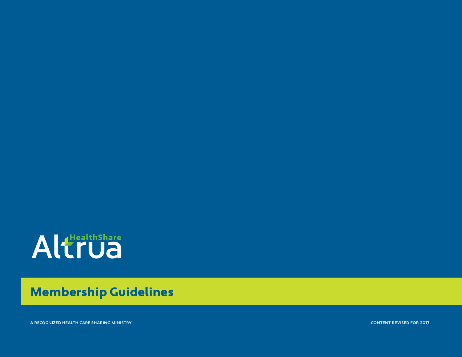

### Membership Guidelines

a recognized health care sharing ministry

content revised for 2017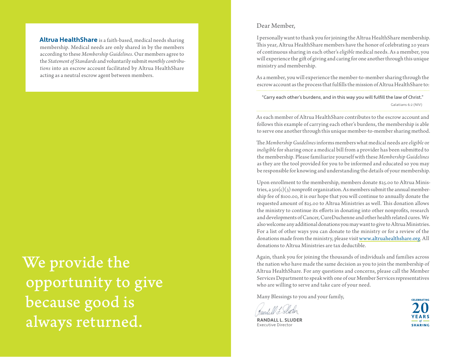**Altrua HealthShare** is a faith-based, medical needs sharing membership. Medical needs are only shared in by the members according to these *Membership Guidelines*. Our members agree to the *Statement of Standards* and voluntarily submit *monthly contributions* into an escrow account facilitated by Altrua HealthShare acting as a neutral escrow agent between members.

We provide the opportunity to give because good is always returned.

#### Dear Member,

I personally want to thank you for joining the Altrua HealthShare membership. This year, Altrua HealthShare members have the honor of celebrating 20 years of continuous sharing in each other's *eligible* medical needs. As a member, you will experience the gift of giving and caring for one another through this unique ministry and membership.

As a member, you will experience the member-to-member sharing through the escrow account as the process that fulfills the mission of Altrua HealthShare to:

"Carry each other's burdens, and in this way you will fulfill the law of Christ." Galatians 6:2 (NIV)

As each member of Altrua HealthShare contributes to the escrow account and follows this example of carrying each other's burdens, the membership is able to serve one another through this unique member-to-member sharing method.

The *Membership Guidelines* informs members what medical needs are *eligible* or *ineligible* for sharing once a medical bill from a provider has been submitted to the membership. Please familiarize yourself with these *Membership Guidelines*  as they are the tool provided for you to be informed and educated so you may be responsible for knowing and understanding the details of your membership.

Upon enrollment to the membership, members donate \$25.00 to Altrua Ministries, a  $\text{sol}(c)(3)$  nonprofit organization. As members submit the annual membership fee of \$100.00, it is our hope that you will continue to annually donate the requested amount of \$25.00 to Altrua Ministries as well. This donation allows the ministry to continue its efforts in donating into other nonprofits, research and developments of Cancer, CureDuchenne and other health related cures. We also welcome any additional donations you may want to give to Altrua Ministries. For a list of other ways you can donate to the ministry or for a review of the donations made from the ministry, please visit www.altruahealthshare.org. All donations to Altrua Ministries are tax deductible.

Again, thank you for joining the thousands of individuals and families across the nation who have made the same decision as you to join the membership of Altrua HealthShare. For any questions and concerns, please call the Member Services Department to speak with one of our Member Services representatives who are willing to serve and take care of your need.

Many Blessings to you and your family,

**RANDALL L. SLUDER** Executive Director

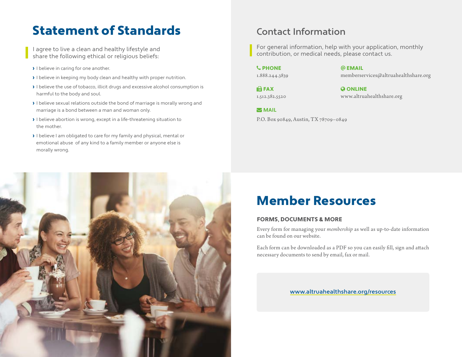#### <span id="page-2-0"></span>Statement of Standards

I agree to live a clean and healthy lifestyle and share the following ethical or religious beliefs:

- › I believe in caring for one another.
- › I believe in keeping my body clean and healthy with proper nutrition.
- › I believe the use of tobacco, illicit drugs and excessive alcohol consumption is harmful to the body and soul.
- › I believe sexual relations outside the bond of marriage is morally wrong and marriage is a bond between a man and woman only.
- › I believe abortion is wrong, except in a life-threatening situation to the mother.
- › I believe I am obligated to care for my family and physical, mental or emotional abuse of any kind to a family member or anyone else is morally wrong.

#### Contact Information

For general information, help with your application, monthly contribution, or medical needs, please contact us.

PHONE @ EMAIL

1.888.244.3839 memberservices@altruahealthshare.org

**IN FAX CONLINE** 1.512.382.5520 www.altruahealthshare.org

**MAIL** P.O. Box 90849, Austin, TX 78709–0849

## Member Resources

#### FORMS, DOCUMENTS & MORE

Every form for managing your *membership* as well as up-to-date information can be found on our website.

Each form can be downloaded as a PDF so you can easily fill, sign and attach necessary documents to send by email, fax or mail.

www.altruahealthshare.org/resources

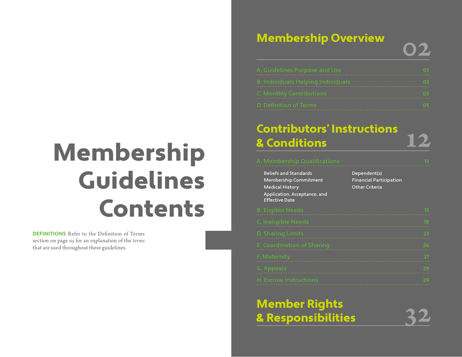## Membership Guidelines Contents

**DEFINITIONS** Refer to the Definition of Terms section on [page 05](#page-6-0) for an explanation of the *terms* that are used throughout these guidelines.

#### [Membership Overview](#page-4-0)

| Membership Overview                |  |
|------------------------------------|--|
| . Guidelines Purpose and Use       |  |
| 8. Individuals Helping Individuals |  |
| . Monthly Contributions            |  |
| . Definition of Terms              |  |

# [Contributors' Instructions](#page-9-0) & Conditions 12

### [Beliefs and Standards](#page-10-0) [Membership Commitment](#page-10-0) [Medical History](#page-10-0) [Application, Acceptance, and](#page-10-0)  [Effective Date](#page-10-0) [Dependent\(s\)](#page-10-0) [Financial Participation](#page-10-0) [Other Criteria](#page-11-0)

#### [Member Rights](#page-19-0)  & Responsibilities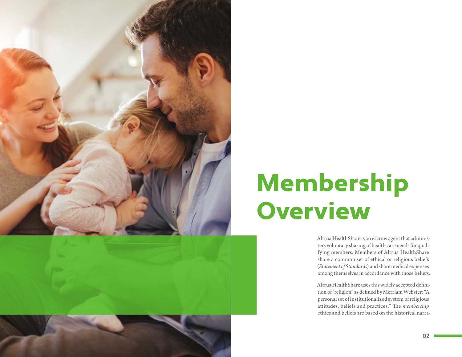<span id="page-4-0"></span>

## Membership **Overview**

Altrua HealthShare is an escrow agent that administers voluntary sharing of health care needs for qualifying members. Members of Altrua HealthShare share a common set of ethical or religious beliefs (*Statement of Standards*) and share medical expenses among themselves in accordance with those beliefs.

Altrua HealthShare uses this widely accepted definition of "religion" as defined by Merriam Webster: "A personal set of institutionalized system of religious attitudes, beliefs and practices." The *membership* ethics and beliefs are based on the historical narra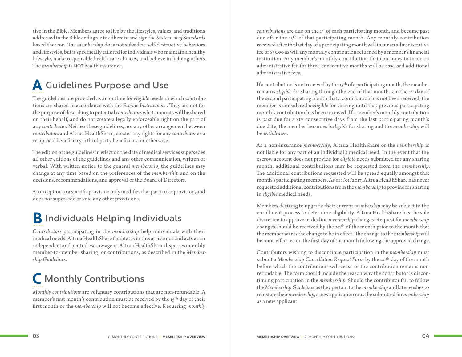<span id="page-5-0"></span>tive in the Bible. Members agree to live by the lifestyles, values, and traditions addressed in the Bible and agree to adhere to and sign the *Statement of Standards* based thereon. The *membership* does not subsidize self-destructive behaviors and lifestyles, but is specifically tailored for individuals who maintain a healthy lifestyle, make responsible health care choices, and believe in helping others. The *membership* is NOT health insurance.

#### **A** Guidelines Purpose and Use

The guidelines are provided as an outline for *eligible* needs in which contributions are shared in accordance with the *Escrow Instructions* . They are not for the purpose of describing to potential *contributors* what amounts will be shared on their behalf, and do not create a legally enforceable right on the part of any *contributor*. Neither these guidelines, nor any other arrangement between *contributors* and Altrua HealthShare, creates any rights for any *contributor* as a reciprocal beneficiary, a third party beneficiary, or otherwise.

The edition of the guidelines in effect on the date of medical services supersedes all other editions of the guidelines and any other communication, written or verbal. With written notice to the general *membership*, the guidelines may change at any time based on the preferences of the *membership* and on the decisions, recommendations, and approval of the Board of Directors.

An exception to a specific provision only modifies that particular provision, and does not supersede or void any other provisions.

#### **B** Individuals Helping Individuals

*Contributors* participating in the *membership* help individuals with their medical needs. Altrua HealthShare facilitates in this assistance and acts as an independent and neutral escrow agent. Altrua HealthShare disperses monthly member-to-member sharing, or contributions, as described in the *Membership Guidelines*.

### **C** Monthly Contributions

*Monthly contributions* are voluntary contributions that are non-refundable. A member's first month's contribution must be received by the 15th day of their first month or the *membership* will not become effective. Recurring *monthly* 

*contributions* are due on the 1st of each participating month, and become past due after the 15<sup>th</sup> of that participating month. Any monthly contribution received after the last day of a participating month will incur an administrative fee of \$35.00 as will any monthly contribution returned by a member's financial institution. Any member's monthly contribution that continues to incur an administrative fee for three consecutive months will be assessed additional administrative fees.

If a contribution is not received by the 15<sup>th</sup> of a participating month, the member remains *eligible* for sharing through the end of that month. On the 1st day of the second participating month that a contribution has not been received, the member is considered *ineligible* for sharing until that previous participating month's contribution has been received. If a member's monthly contribution is past due for sixty consecutive days from the last participating month's due date, the member becomes *ineligible* for sharing and the *membership* will be *withdrawn*.

As a non-insurance *membership*, Altrua HealthShare or the *membership* is not liable for any part of an individual's medical need. In the event that the escrow account does not provide for *eligible* needs submitted for any sharing month, additional contributions may be requested from the *membership*. The additional contributions requested will be spread equally amongst that month's participating members. As of 1/01/2017, Altrua HealthShare has never requested additional contributions from the *membership* to provide for sharing in *eligible* medical needs.

Members desiring to upgrade their current *membership* may be subject to the enrollment process to determine eligibility. Altrua HealthShare has the sole discretion to approve or decline *membership* changes. Request for *membership* changes should be received by the  $20<sup>th</sup>$  of the month prior to the month that the member wants the change to be in effect. The change to the *membership* will become effective on the first day of the month following the approved change.

Contributors wishing to discontinue participation in the *membership* must submit a *Membership Cancellation Request Form* by the 20th day of the month before which the contributions will cease or the contribution remains nonrefundable. The form should include the reason why the contributor is discontinuing participation in the *membership*. Should the contributor fail to follow the *Membership Guidelines* as they pertain to the *membership* and later wishes to reinstate their *membership*, a new application must be submitted for *membership* as a new applicant.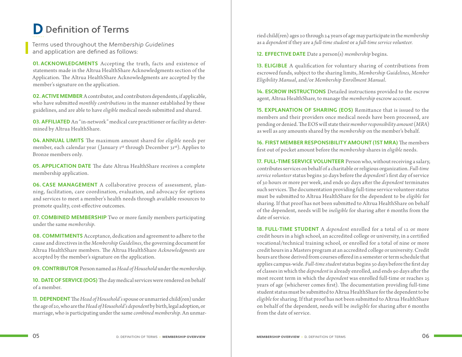#### <span id="page-6-0"></span>**D** Definition of Terms

Terms used throughout the Membership Guidelines and application are defined as follows:

**01. ACKNOWLEDGMENTS** Accepting the truth, facts and existence of statements made in the Altrua HealthShare Acknowledgments section of the Application. The Altrua HealthShare Acknowledgments are accepted by the member's signature on the application.

**02. ACTIVE MEMBER** A contributor, and contributors dependents, if applicable, who have submitted *monthly contributions* in the manner established by these guidelines, and are able to have *eligible* medical needs submitted and shared.

**03. AFFILIATED** An "in-network" medical care practitioner or facility as determined by Altrua HealthShare.

**04. ANNUAL LIMITS** The maximum amount shared for *eligible* needs per member, each calendar year (January 1st through December 31st). Applies to Bronze members only.

**05. APPLICATION DATE** The date Altrua HealthShare receives a complete membership application.

**06. CASE MANAGEMENT** A collaborative process of assessment, planning, facilitation, care coordination, evaluation, and advocacy for options and services to meet a member's health needs through available resources to promote quality, cost-effective outcomes.

**07. COMBINED MEMBERSHIP** Two or more family members participating under the same *membership*.

**08. COMMITMENTS** Acceptance, dedication and agreement to adhere to the cause and directives in the *Membership Guidelines*, the governing document for Altrua HealthShare members. The Altrua HealthShare *Acknowledgments* are accepted by the member's signature on the application.

**09. CONTRIBUTOR** Person named as *Head of Household* under the *membership*.

**10. DATE OF SERVICE (DOS)** The day medical services were rendered on behalf of a member.

**11. DEPENDENT** The *Head of Household's* spouse or unmarried child(ren) under the age of 20, who are the *Head of Household'sdependent* by birth, legal adoption, or marriage, who is participating under the same *combined membership*. An unmarried child(ren) ages 20 through 24 years of age may participate in the *membership* as a *dependent* if they are a *full-time student* or a *full-time service volunteer.*

**12. EFFECTIVE DATE** Date a person(s) *membership* begins.

**13. ELIGIBLE** A qualification for voluntary sharing of contributions from escrowed funds, subject to the sharing limits, *Membership Guidelines*, *Member Eligibility Manual*, and/or *Membership Enrollment Manual*.

**14. ESCROW INSTRUCTIONS** Detailed instructions provided to the escrow agent, Altrua HealthShare, to manage the *membership* escrow account.

**15. EXPLANATION OF SHARING (EOS)** Remittance that is issued to the members and their providers once medical needs have been processed, are pending or denied. The EOS will state their *member responsibility amount* (*MRA*) as well as any amounts shared by the *membership* on the member's behalf.

**16. FIRST MEMBER RESPONSIBILITY AMOUNT (1ST MRA)** The members first out of pocket amount before the *membership* shares in *eligible* needs.

**17. FULL-TIME SERVICE VOLUNTEER** Person who, without receiving a salary, contributes services on behalf of a charitable or religious organization. *Full-time service volunteer* status begins 30 days before the *dependent's* first day of service of 30 hours or more per week, and ends 90 days after the *dependent* terminates such services. The documentation providing full-time service volunteer status must be submitted to Altrua HealthShare for the dependent to be *eligible* for sharing. If that proof has not been submitted to Altrua HealthShare on behalf of the dependent, needs will be *ineligible* for sharing after 6 months from the date of service.

**18. FULL-TIME STUDENT** A *dependent* enrolled for a total of 12 or more credit hours in a high school, an accredited college or university, in a certified vocational/technical training school, or enrolled for a total of nine or more credit hours in a Masters program at an accredited college or university. Credit hours are those derived from courses offered in a semester or term schedule that applies campus-wide. *Full-time student* status begins 30 days before the first day of classes in which the *dependent* is already enrolled, and ends 90 days after the most recent term in which the *dependent* was enrolled full-time or reaches 25 years of age (whichever comes first). The documentation providing full-time student status must be submitted to Altrua HealthShare for the dependent to be *eligible* for sharing. If that proof has not been submitted to Altrua HealthShare on behalf of the dependent, needs will be *ineligible* for sharing after 6 months from the date of service.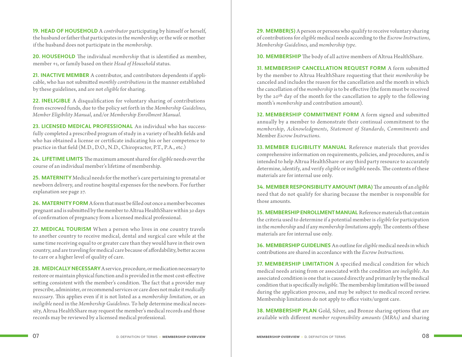**19. HEAD OF HOUSEHOLD** A *contributor* participating by himself or herself, the husband or father that participates in the *membership*; or the wife or mother if the husband does not participate in the *membership*.

**20. HOUSEHOLD** The individual *membership* that is identified as member, member +1, or family based on their *Head of Household* status.

**21. INACTIVE MEMBER** A contributor, and contributors dependents if applicable, who has not submitted *monthly contributions* in the manner established by these guidelines, and are not *eligible* for sharing.

**22. INELIGIBLE** A disqualification for voluntary sharing of contributions from escrowed funds, due to the policy set forth in the *Membership Guidelines*, *Member Eligibility Manual*, and/or *Membership Enrollment Manual*.

**23. LICENSED MEDICAL PROFESSIONAL** An individual who has successfully completed a prescribed program of study in a variety of health fields and who has obtained a license or certificate indicating his or her competence to practice in that field (M.D., D.O., N.D., Chiropractor, P.T., P.A., etc.)

**24. LIFETIME LIMITS** The maximum amount shared for *eligible* needs over the course of an individual member's lifetime of membership.

**25. MATERNITY** Medical needs for the mother's care pertaining to prenatal or newborn delivery, and routine hospital expenses for the newborn. For further explanation see [page 2](#page-17-0)7.

**26. MATERNITY FORM** A form that must be filled out once a member becomes pregnant and is submitted by the member to Altrua HealthShare within 30 days of confirmation of pregnancy from a licensed medical professional.

**27. MEDICAL TOURISM** When a person who lives in one country travels to another country to receive medical, dental and surgical care while at the same time receiving equal to or greater care than they would have in their own country, and are traveling for medical care because of affordability, better access to care or a higher level of quality of care.

**28. MEDICALLY NECESSARY** A service, procedure, or medication necessary to restore or maintain physical function and is provided in the most cost-effective setting consistent with the member's condition. The fact that a provider may prescribe, administer, or recommend services or care does not make it *medically necessary*. This applies even if it is not listed as a *membership limitation*, or an *ineligible* need in the *Membership Guidelines*. To help determine medical necessity, Altrua HealthShare may request the member's medical records and those records may be reviewed by a licensed medical professional.

**29. MEMBER(S)** A person or persons who qualify to receive voluntary sharing of contributions for *eligible* medical needs according to the *Escrow Instructions*, *Membership Guidelines*, and *membership type*.

**30. MEMBERSHIP** The body of all active members of Altrua HealthShare.

**31. MEMBERSHIP CANCELLATION REQUEST FORM** A form submitted by the member to Altrua HealthShare requesting that their *membership* be canceled and includes the reason for the cancellation and the month in which the cancellation of the *membership* is to be effective (the form must be received by the 20th day of the month for the cancellation to apply to the following month's *membership* and contribution amount).

**32. MEMBERSHIP COMMITMENT FORM** A form signed and submitted annually by a member to demonstrate their continual commitment to the *membership*, *Acknowledgments*, *Statement of Standards*, *Commitments* and Member *Escrow Instructions*.

**33. MEMBER ELIGIBILITY MANUAL** Reference materials that provides comprehensive information on requirements, policies, and procedures, and is intended to help Altrua HealthShare or any third party resource to accurately determine, identify, and verify *eligible* or *ineligible* needs. The contents of these materials are for internal use only.

**34. MEMBER RESPONSIBILITY AMOUNT (MRA)** The amounts of an *eligible*  need that do not qualify for sharing because the member is responsible for those amounts.

**35. MEMBERSHIP ENROLLMENT MANUAL** Reference materials that contain the criteria used to determine if a potential member is *eligible* for participation in the *membership* and if any *membership limitation*s apply. The contents of these materials are for internal use only.

**36. MEMBERSHIP GUIDELINES** An outline for *eligible* medical needs in which contributions are shared in accordance with the *Escrow Instructions.*

**37. MEMBERSHIP LIMITATION** A specified medical condition for which medical needs arising from or associated with the condition are *ineligible*. An associated condition is one that is caused directly and primarily by the medical condition that is specifically *ineligible*. The membership limitation will be issued during the application process, and may be subject to medical record review. Membership limitations do not apply to office visits/urgent care.

**38. MEMBERSHIP PLAN** Gold, Silver, and Bronze sharing options that are available with different *member responsibility amounts (MRAs)* and sharing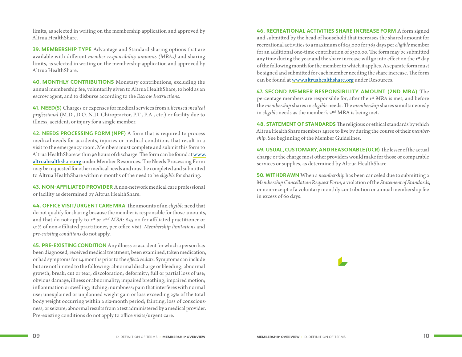limits, as selected in writing on the membership application and approved by Altrua HealthShare.

**39. MEMBERSHIP TYPE** Advantage and Standard sharing options that are available with different *member responsibility amounts (MRAs)* and sharing limits, as selected in writing on the membership application and approved by Altrua HealthShare.

**40. MONTHLY CONTRIBUTIONS** Monetary contributions, excluding the annual membership fee, voluntarily given to Altrua HealthShare, to hold as an escrow agent, and to disburse according to the *Escrow Instructions*.

**41. NEED(S)** Charges or expenses for medical services from a *licensed medical professional* (M.D., D.O. N.D. Chiropractor, P.T., P.A., etc.) or facility due to illness, accident, or injury for a single member.

**42. NEEDS PROCESSING FORM (NPF)** A form that is required to process medical needs for accidents, injuries or medical conditions that result in a visit to the emergency room. Members must complete and submit this form to Altrua HealthShare within 96 hours of discharge. The form can be found at www. altruahealthshare.org under Member Resources. The Needs Processing Form may be requested for other medical needs and must be completed and submitted to Altrua HealthShare within 6 months of the need to be *eligible* for sharing.

**43. NON-AFFILIATED PROVIDER** A non-network medical care professional or facility as determined by Altrua HealthShare.

**44. OFFICE VISIT/URGENT CARE MRA** The amounts of an *eligible* need that do not qualify for sharing because the member is responsible for those amounts, and that do not apply to *1st or 2nd MRA*: \$35.00 for affiliated practitioner or 50% of non-affiliated practitioner, per office visit. *Membership limitations* and *pre-existing conditions* do not apply.

**45. PRE-EXISTING CONDITION** Any illness or accident for which a person has been diagnosed, received medical treatment, been examined, taken medication, or had symptoms for 24 months prior to the *effective date*. Symptoms can include but are not limited to the following: abnormal discharge or bleeding; abnormal growth; break; cut or tear; discoloration; deformity; full or partial loss of use; obvious damage, illness or abnormality; impaired breathing; impaired motion; inflammation or swelling; itching; numbness; pain that interferes with normal use; unexplained or unplanned weight gain or loss exceeding 25% of the total body weight occurring within a six-month period; fainting, loss of consciousness, or seizure; abnormal results from a test administered by a medical provider. Pre-existing conditions do not apply to office visits/urgent care.

**46. RECREATIONAL ACTIVITIES SHARE INCREASE FORM** A form signed and submitted by the head of household that increases the shared amount for recreational activities to a maximum of \$25,000 for 365 days per *eligible* member for an additional one-time contribution of \$300.00. The form may be submitted any time during the year and the share increase will go into effect on the 1st day of the following month for the member in which it applies. A separate form must be signed and submitted for each member needing the share increase. The form can be found at www.altruahealthshare.org under Resources.

**47. SECOND MEMBER RESPONSIBILITY AMOUNT (2ND MRA)** The percentage members are responsible for, after the *1st MRA* is met, and before the *membership* shares in *eligible* needs. The *membership* shares simultaneously in *eligible* needs as the member's 2nd MRA is being met.

**48. STATEMENT OF STANDARDS** The religious or ethical standards by which Altrua HealthShare members agree to live by during the course of their *membership*. [See beginning of the Member Guidelines](#page-2-0).

**49. USUAL, CUSTOMARY, AND REASONABLE (UCR)** The lesser of the actual charge or the charge most other providers would make for those or comparable services or supplies, as determined by Altrua HealthShare.

**50. WITHDRAWN** When a *membership* has been canceled due to submitting a *Membership Cancellation Request Form*, a violation of the *Statement of Standards*, or non-receipt of a voluntary monthly contribution or annual membership fee in excess of 60 days.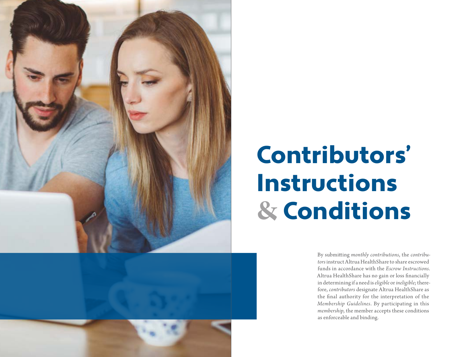<span id="page-9-0"></span>



## Contributors' Instructions **&** Conditions

By submitting *monthly contributions*, the *contributors* instruct Altrua HealthShare to share escrowed funds in accordance with the *Escrow Instructions*. Altrua HealthShare has no gain or loss financially in determining if a need is *eligible* or *ineligible*; therefore, *contributors* designate Altrua HealthShare as the final authority for the interpretation of the *Membership Guidelines*. By participating in this *membership*, the member accepts these conditions as enforceable and binding.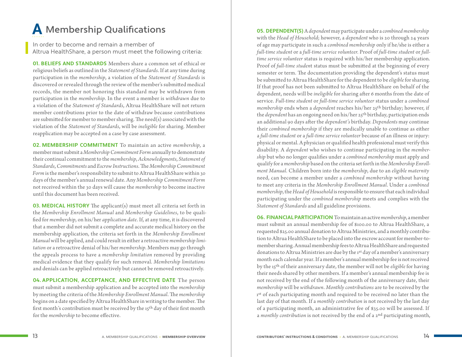#### <span id="page-10-0"></span>**A** Membership Qualifications

In order to become and remain a member of Altrua HealthShare, a person must meet the following criteria:

**01. BELIEFS AND STANDARDS** Members share a common set of ethical or religious beliefs as outlined in the *Statement of Standards*. If at any time during participation in the *membership*, a violation of the *Statement of Standards* is discovered or revealed through the review of the member's submitted medical records, the member not honoring this standard may be withdrawn from participation in the *membership*. In the event a member is *withdrawn* due to a violation of the *Statement of Standards*, Altrua HealthShare will not return member contributions prior to the date of withdraw because contributions are submitted for member to member sharing. The need(s) associated with the violation of the *Statement of Standards*, will be *ineligible* for sharing. Member reapplication may be accepted on a case by case assessment.

**02. MEMBERSHIP COMMITMENT** To maintain an active *membership*, a member must submit a *Membership Commitment Form* annually to demonstrate their continual commitment to the *membership*, *Acknowledgments*, *Statement of Standards*, *Commitments* and *Escrow Instructions*. The *Membership Commitment Form* is the member's responsibility to submit to Altrua HealthShare within 30 days of the member's annual renewal date. Any *Membership Commitment Form* not received within the 30 days will cause the *membership* to become inactive until this document has been received.

**03. MEDICAL HISTORY** The applicant(s) must meet all criteria set forth in the *Membership Enrollment Manual* and *Membership Guidelines*, to be qualified for *membership*, on his/her *application date*. If, at any time, it is discovered that a member did not submit a complete and accurate medical history on the membership application, the criteria set forth in the *Membership Enrollment Manual* will be applied, and could result in either a retroactive *membership limitation* or a retroactive denial of his/her *membership*. Members may go through the appeals process to have a *membership limitation* removed by providing medical evidence that they qualify for such removal. *Membership limitations* and denials can be applied retroactively but cannot be removed retroactively.

**04. APPLICATION, ACCEPTANCE, AND EFFECTIVE DATE** The person must submit a membership application and be accepted into the *membership* by meeting the criteria of the *Membership Enrollment Manual*. The *membership* begins on a date specified by Altrua HealthShare in writing to the member. The first month's contribution must be received by the 15th day of their first month for the *membership* to become effective.

**05. DEPENDENT(S)** A *dependent* may participate under a *combined membership* with the *Head of Household*; however, a *dependent* who is 20 through 24 years of age may participate in such a *combined membership* only if he/she is either a *full-time student* or a *full-time service volunteer*. Proof of *full-time student* or *fulltime service volunteer* status is required with his/her membership application. Proof of *full-time studen*t status must be submitted at the beginning of every semester or term. The documentation providing the dependent's status must be submitted to Altrua HealthShare for the dependent to be *eligible* for sharing. If that proof has not been submitted to Altrua HealthShare on behalf of the dependent, needs will be *ineligible* for sharing after 6 months from the date of service. *Full-time student* or *full-time service volunteer* status under a *combined membership* ends when a *dependent* reaches his/her 25th birthday; however, if the *dependent* has an ongoing need on his/her 25th birthday, participation ends an additional 90 days after the *dependent's* birthday. *Dependents* may continue their *combined membership* if they are medically unable to continue as either a *full-time student* or a *full-time service volunteer* because of an illness or injury: physical or mental. A physician or qualified health professional must verify this disability. A *dependent* who wishes to continue participating in the *membership* but who no longer qualifies under a *combined membership* must apply and qualify for a *membership* based on the criteria set forth in the *Membership Enrollment Manual.* Children born into the *membership*, due to an *eligible maternity*  need, can become a member under a *combined membership* without having to meet any criteria in the *Membership Enrollment Manual*. Under a *combined membership*, the *Head of Household* is responsible to ensure that each individual participating under the *combined membership* meets and complies with the *Statement of Standards* and all guideline provisions.

**06. FINANCIAL PARTICIPATION** To maintain an active *membership*, a member must submit an annual membership fee of \$100.00 to Altrua HealthShare, a requested \$25.00 annual donation to Altrua Ministries, and a monthly contribution to Altrua HealthShare to be placed into the escrow account for member-tomember sharing. Annual membership fees to Altrua HealthShare and requested donations to Altrua Ministries are due by the 1st day of a member's anniversary month each calendar year. If a member's annual membership fee is not received by the 15th of their anniversary date, the member will not be *eligible* for having their needs shared by other members. If a member's annual membership fee is not received by the end of the following month of the anniversary date, their *membership* will be *withdrawn*. *Monthly contributions* are to be received by the 1st of each participating month and required to be received no later than the last day of that month. If a *monthly contribution* is not received by the last day of a participating month, an administrative fee of \$35.00 will be assessed. If a *monthly contribution* is not received by the end of a 2nd participating month,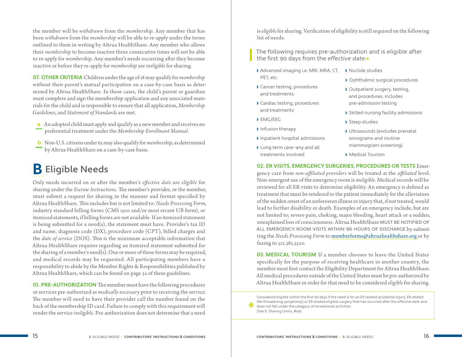<span id="page-11-0"></span>the member will be *withdrawn* from the *membership*. Any member that has been *withdrawn* from the *membership* will be able to re-apply under the terms outlined to them in writing by Altrua HealthShare. Any member who allows their *membership* to become inactive three consecutive times will not be able to re-apply for *membership*. Any member's needs occurring after they become inactive or before they re-apply for *membership* are *ineligible* for sharing.

**07. OTHER CRITERIA** Children under the age of 18 may qualify for *membership* without their parent's mutual participation on a case-by-case basis as determined by Altrua HealthShare. In these cases, the child's parent or guardian must complete and sign the membership application and any associated materials for the child and is responsible to ensure that all application, *Membership Guidelines*, and *Statement of Standards* are met.

- **a** An adopted child must apply and qualify as a new member and receives no preferential treatment under the *Membership Enrollment Manual.*
- **b** Non-U.S. citizens under 65 may also qualify for *membership*, as determined by Altrua HealthShare on a case-by-case basis.

#### **B** Eligible Needs

Only needs incurred on or after the member's *effective date* are *eligible* for sharing under the *Escrow Instructions.* The member's provider, or the member, must submit a request for sharing in the manner and format specified by Altrua HealthShare. This includes but is not limited to: *Needs Processing Form*, industry standard billing forms (CMS 1500 and/or most recent UB form), or itemized statements, if billing forms are not available. If an itemized statement is being submitted for a need(s), the statement must have: Provider's tax ID and name, diagnosis code (DX), procedure code (CPT), billed charges and the *date of service* (DOS). This is the minimum acceptable information that Altrua HealthShare requires regarding an itemized statement submitted for the sharing of a member's need(s). One or more of these forms may be required, and medical records may be requested. All participating members have a responsibility to abide by the Member Rights & Responsibilities published by Altrua HealthShare, which can be found on [page 32](#page-19-0) of these guidelines.

**01. PRE-AUTHORIZATION** The member must have the following procedures or services pre-authorized as *medically necessary* prior to receiving the service. The member will need to have their provider call the number found on the back of the membership ID card. Failure to comply with this requirement will render the service *ineligible*. Pre-authorization does not determine that a need

is *eligible* for sharing. Verification of eligibility is still required on the following list of needs.

The following requires pre-authorization and is eligible after the first 90 days from the effective date:\*

- > Advanced imaging i.e. MRI, MRA, CT, > Nuclide studies PET, etc.
- › Cancer testing, procedures and treatments
- › Cardiac testing, procedures and treatments
- › EMG/EEG

\*

- › Infusion therapy
- › Inpatient hospital admissions
- › Long term care—any and all treatments involved
- › Ophthalmic surgical procedures
- › Outpatient surgery, testing, and procedures, includes pre-admission testing
- › Skilled nursing facility admissions
- › Sleep studies
- › Ultrasounds (excludes prenatal sonograms and routine mammogram screening)
- › Medical Tourism

#### **02. ER VISITS, EMERGENCY SURGERIES, PROCEDURES OR TESTS** Emer-

gency care from *non-affiliated providers* will be treated at the *affiliated* level. Non-emergent use of the emergency room is *ineligible*. Medical records will be reviewed for all ER visits to determine eligibility. An emergency is defined as treatment that must be rendered to the patient immediately for the alleviation of the sudden onset of an unforeseen illness or injury that, if not treated, would lead to further disability or death. Examples of an emergency include, but are not limited to; severe pain, choking, major bleeding, heart attack or a sudden, unexplained loss of consciousness. Altrua HealthShare MUST BE NOTIFIED OF All emergency room visits within 96 hours of dischArge by submitting the *Needs Processing Form* to [memberforms@altruahealthshare.org](mailto:memberforms@altruahealthshare.org) or by faxing to 512.382.5520.

**03. MEDICAL TOURISM** If a member chooses to leave the United States specifically for the purpose of receiving healthcare in another country, the member must first contact the Eligibility Department for Altrua HealthShare. All medical procedures outside of the United States must be pre-authorized by Altrua HealthShare in order for that need to be considered *eligible* for sharing.

Considered eligible within the first 90 days if the need is for an ER related accidental injury, ER related life-threatening symptom(s) or ER related eligible surgery that has occurred after the effective date and does not fall under the category of recreational activities. [\(See D. Sharing Limits, #09\)](#page-16-0)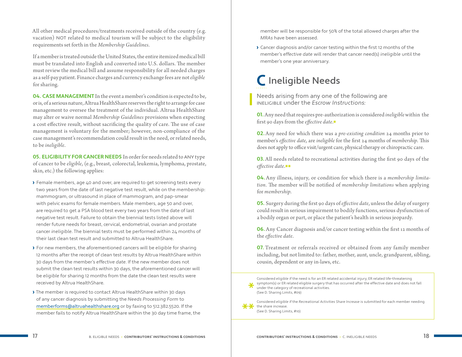<span id="page-12-0"></span>All other medical procedures/treatments received outside of the country (e.g. vacation) NOT related to medical tourism will be subject to the eligibility requirements set forth in the *Membership Guidelines*.

If a member is treated outside the United States, the entire itemized medical bill must be translated into English and converted into U.S. dollars. The member must review the medical bill and assume responsibility for all needed charges as a self-pay patient. Finance charges and currency exchange fees are not *eligible* for sharing.

**04. CASE MANAGEMENT** In the event a member's condition is expected to be, or is, of a serious nature, Altrua HealthShare reserves the right to arrange for case management to oversee the treatment of the individual. Altrua HealthShare may alter or waive normal *Membership Guidelines* provisions when expecting a cost effective result, without sacrificing the quality of care. The use of case management is voluntary for the member; however, non-compliance of the case management's recommendation could result in the need, or related needs, to be *ineligible*.

**05. ELIGIBILITY FOR CANCER NEEDS** In order for needs related to ANY type of cancer to be *eligible*, (e.g., breast, colorectal, leukemia, lymphoma, prostate, skin, etc.) the following applies:

- › Female members, age 40 and over, are required to get screening tests every two years from the date of last negative test result, while on the membership: mammogram, or ultrasound in place of mammogram, and pap-smear with pelvic exams for female members. Male members, age 50 and over, are required to get a PSA blood test every two years from the date of last negative test result. Failure to obtain the biennial tests listed above will render future needs for breast, cervical, endometrial, ovarian and prostate cancer ineligible. The biennial tests must be performed within 24 months of their last clean test result and submitted to Altrua HealthShare.
- › For new members, the aforementioned cancers will be eligible for sharing 12 months after the receipt of clean test results by Altrua HealthShare within 30 days from the member's effective date. If the new member does not submit the clean test results within 30 days, the aforementioned cancer will be eligible for sharing 12 months from the date the clean test results were received by Altrua HealthShare.

› The member is required to contact Altrua HealthShare within 30 days of any cancer diagnosis by submitting the Needs Processing Form to [memberforms@altruahealthshare.org](mailto:memberforms@altruahealthshare.org) or by faxing to 512.382.5520. If the member fails to notify Altrua HealthShare within the 30 day time frame, the member will be responsible for 50% of the total allowed charges after the MRAs have been assessed.

› Cancer diagnosis and/or cancer testing within the first 12 months of the member's effective date will render that cancer need(s) ineligible until the member's one year anniversary.

#### **C** Ineligible Needs

Needs arising from any one of the following are INELIGIBLE under the Escrow Instructions:

**01.**Any need that requires pre-authorization is considered *ineligible* within the first 90 days from the *effective date*.\*

**02.**Any need for which there was a *pre-existing condition* 24 months prior to member's *effective date*, are *ineligible* for the first 24 months of *membership*. This does not apply to office visit/urgent care, physical therapy or chiropractic care.

**03.**All needs related to recreational activities during the first 90 days of the *effective date*.\*\*

**04.**Any illness, injury, or condition for which there is a *membership limitation.* The member will be notified of *membership limitations* when applying for *membership*.

**05.** Surgery during the first 90 days of *effective date*, unless the delay of surgery could result in serious impairment to bodily functions, serious dysfunction of a bodily organ or part, or place the patient's health in serious jeopardy.

**06.**Any Cancer diagnosis and/or cancer testing within the first 12 months of the *effective date*.

**07.** Treatment or referrals received or obtained from any family member including, but not limited to: father, mother, aunt, uncle, grandparent, sibling, cousin, dependent or any in-laws, etc.

Considered eligible if the need is for an ER related accidental injury, ER related life-threatening<br>  $\bullet$  symptom(s) or ER related eligible surgery that has occurred after the effective date and does not fall<br>  $\bullet$  under t under the category of recreational activities. [\(See D. Sharing Limits, #09\)](#page-16-0)

Considered eligible if the Recreational Activities Share Increase is submitted for each member needing the share increase.

[\(See D. Sharing Limits, #10](#page-16-0))

\*\*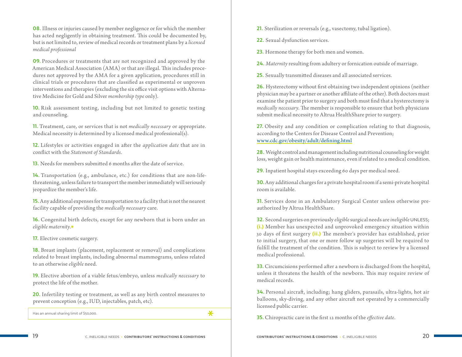**08.** Illness or injuries caused by member negligence or for which the member has acted negligently in obtaining treatment. This could be documented by, but is not limited to, review of medical records or treatment plans by a *licensed medical professional*

**09.** Procedures or treatments that are not recognized and approved by the American Medical Association (AMA) or that are illegal. This includes procedures not approved by the AMA for a given application, procedures still in clinical trials or procedures that are classified as experimental or unproven interventions and therapies (excluding the six office visit options with Alternative Medicine for Gold and Silver *membership type* only).

**10.** Risk assessment testing, including but not limited to genetic testing and counseling.

**11.** Treatment, care, or services that is not *medically necessary* or appropriate. Medical necessity is determined by a licensed medical professional(s).

**12.** Lifestyles or activities engaged in after the *application date* that are in conflict with the *Statement of Standards*.

**13.** Needs for members submitted 6 months after the date of service.

**14.** Transportation (e.g., ambulance, etc.) for conditions that are non-lifethreatening, unless failure to transport the member immediately will seriously jeopardize the member's life.

**15.** Any additional expenses for transportation to a facility that is not the nearest facility capable of providing the *medically necessary* care.

**16.** Congenital birth defects, except for any newborn that is born under an *eligible maternity*.\*

**17.** Elective cosmetic surgery.

**18.** Breast implants (placement, replacement or removal) and complications related to breast implants, including abnormal mammograms, unless related to an otherwise *eligible* need.

**19.** Elective abortion of a viable fetus/embryo, unless *medically necessary* to protect the life of the mother.

**20.** Infertility testing or treatment, as well as any birth control measures to prevent conception (e.g., IUD, injectables, patch, etc).

Has an annual sharing limit of \$50,000.  $\mathbf{\mathbf{\times}}$ 

**21.** Sterilization or reversals (e.g., vasectomy, tubal ligation).

**22.** Sexual dysfunction services.

**23.** Hormone therapy for both men and women.

**24.** *Maternity* resulting from adultery or fornication outside of marriage.

**25.** Sexually transmitted diseases and all associated services.

**26.** Hysterectomy without first obtaining two independent opinions (neither physician may be a partner or another affiliate of the other). Both doctors must examine the patient prior to surgery and both must find that a hysterectomy is *medically necessary*. The member is responsible to ensure that both physicians submit medical necessity to Altrua HealthShare prior to surgery.

**27.** Obesity and any condition or complication relating to that diagnosis, according to the Centers for Disease Control and Prevention; www.cdc.gov/obesity/adult/defining.html

**28.** Weight control and management including nutritional counseling for weight loss, weight gain or health maintenance, even if related to a medical condition.

**29.** Inpatient hospital stays exceeding 60 days per medical need.

**30.**Any additional charges for a private hospital room if a semi-private hospital room is available.

**31.** Services done in an Ambulatory Surgical Center unless otherwise preauthorized by Altrua HealthShare.

**32.** Second surgeries on previously *eligible* surgical needs are *ineligible* UNLESS; (i.) Member has unexpected and unprovoked emergency situation within 30 days of first surgery (ii.) The member's provider has established, prior to initial surgery, that one or more follow up surgeries will be required to fulfill the treatment of the condition. This is subject to review by a licensed medical professional.

**33.** Circumcisions performed after a newborn is discharged from the hospital, unless it threatens the health of the newborn. This may require review of medical records.

**34.** Personal aircraft, including; hang gliders, parasails, ultra-lights, hot air balloons, sky-diving, and any other aircraft not operated by a commercially licensed public carrier.

**35.** Chiropractic care in the first 12 months of the *effective date*.

19 C. INELIGIBLE NEEDS ‹ **Contributors' Instructions & Conditions Contributors' Instructions & Conditions** › C. INELIGIBLE NEEDS 20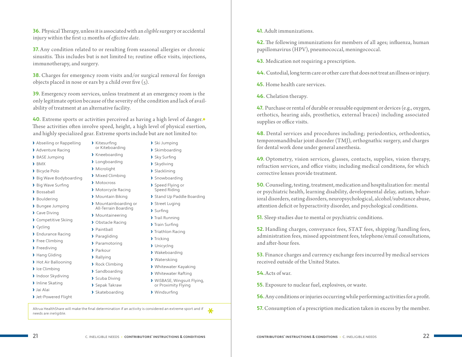**36.** Physical Therapy, unless it is associated with an *eligible* surgery or accidental injury within the first 12 months of *effective date*.

**37.**Any condition related to or resulting from seasonal allergies or chronic sinusitis. This includes but is not limited to; routine office visits, injections, immunotherapy, and surgery.

**38.** Charges for emergency room visits and/or surgical removal for foreign objects placed in nose or ears by a child over five  $(5)$ .

**39.** Emergency room services, unless treatment at an emergency room is the only legitimate option because of the severity of the condition and lack of availability of treatment at an alternative facility.

**40.** Extreme sports or activities perceived as having a high level of danger.\* These activities often involve speed, height, a high level of physical exertion, and highly specialized gear. Extreme sports include but are not limited to:

- › Abseiling or Rappelling
- › Adventure Racing
- › BASE Jumping
- › BMX
- › Bicycle Polo
- › Big Wave Bodyboarding
- › Big Wave Surfing
- › Bossaball
- › Bouldering
- › Bungee Jumping
- › Cave Diving
- › Competitive Skiing
- › Cycling
- › Endurance Racing
- › Free Climbing
- › Freediving
- › Hang Gliding
- › Hot Air Ballooning
- › Ice Climbing
- › Indoor Skydiving
- › Inline Skating
- › Jai Alai
- › Jet-Powered Flight
- or Kiteboarding › Ski Jumping › Skimboarding
- › Kneeboarding

› Kitesurfing

- › Longboarding › Microlight
- › Mixed Climbing
- › Motocross
- › Motorcycle Racing
- › Mountain Biking
- › Mountainboarding or
- › Mountaineering
- › Obstacle Racing
- › Paintball
- › Paragliding
- › Paramotoring
- › Parkour
	-
	- › Rallying
	- › Rock Climbing
	- › Sandboarding
- › Scuba Diving
- › Sepak Takraw
- › Skateboarding
- -
- › Trail Running › Train Surfing › Triathlon Racing
	- › Tricking
	- › Unicyclng
	- › Wakeboarding

› Sky Surfing › Skydiving › Slacklining › Snowboarding › Speed Flying or Speed Riding

› Street Luging › Surfing

- › Waterskiing
- › Whitewater Kayaking
- › Whitewater Rafting
- › WiSBASE, Wingsuit Flying, or Proximity Flying

› Stand Up Paddle Boarding

› Windsurfing

Altrua HealthShare will make the final determination if an activity is considered an extreme sport and if  $\bigotimes$ 

**41.** Adult immunizations.

**42.**The following immunizations for members of all ages; influenza, human papillomavirus (HPV), pneumococcal, meningococcal.

**43.** Medication not requiring a prescription.

**44.** Custodial, long term care or other care that does not treat an illness or injury.

- **45.** Home health care services.
- **46.** Chelation therapy.

**47.** Purchase or rental of durable or reusable equipment or devices (e.g., oxygen, orthotics, hearing aids, prosthetics, external braces) including associated supplies or office visits.

**48.** Dental services and procedures including; periodontics, orthodontics, temporomandibular joint disorder (TMJ), orthognathic surgery, and charges for dental work done under general anesthesia.

**49.** Optometry, vision services, glasses, contacts, supplies, vision therapy, refraction services, and office visits; including medical conditions, for which corrective lenses provide treatment.

**50.**Counseling, testing, treatment, medication and hospitalization for: mental or psychiatric health, learning disability, developmental delay, autism, behavioral disorders, eating disorders, neuropsychological, alcohol/substance abuse, attention deficit or hyperactivity disorder, and psychological conditions.

**51.** Sleep studies due to mental or psychiatric conditions.

**52.** Handling charges, conveyance fees, STAT fees, shipping/handling fees, administration fees, missed appointment fees, telephone/email consultations, and after-hour fees.

**53.** Finance charges and currency exchange fees incurred by medical services received outside of the United States.

#### **54.**Acts of war.

**55.** Exposure to nuclear fuel, explosives, or waste.

- **56.**Any conditions or injuries occurring while performing activities for a profit.
- **57.**Consumption of a prescription medication taken in excess by the member.

All-Terrain Boarding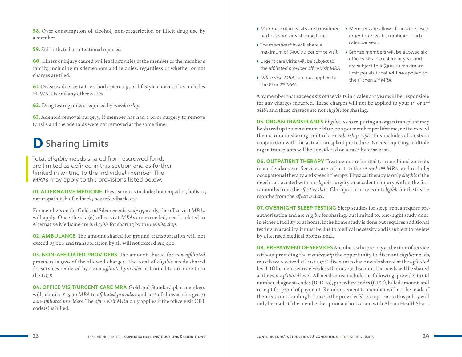<span id="page-15-0"></span>**58.** Over consumption of alcohol, non-prescription or illicit drug use by a member.

**59.** Self-inflicted or intentional injuries.

**60.** Illness or injury caused by illegal activities of the member or the member's family, including misdemeanors and felonies, regardless of whether or not charges are filed.

**61.** Diseases due to; tattoos, body piercing, or lifestyle choices, this includes HIV/AIDs and any other STDs.

**62.** Drug testing unless required by *membership*.

**63.** Adenoid removal surgery, if member has had a prior surgery to remove tonsils and the adenoids were not removed at the same time.

### **D** Sharing Limits

Total eligible needs shared from escrowed funds are limited as defined in this section and as further limited in writing to the individual member. The MRAs may apply to the provisions listed below.

**01. ALTERNATIVE MEDICINE** These services include; homeopathic, holistic, naturopathic, biofeedback, neurofeedback, etc.

For members on the Gold and Silver *membership type* only, the office visit *MRAs* will apply. Once the six (6) office visit *MRAs* are exceeded, needs related to Alternative Medicine are *ineligible* for sharing by the *membership*.

**02. AMBULANCE** The amount shared for ground transportation will not exceed \$3,000 and transportation by air will not exceed \$10,000.

**03. NON-AFFILIATED PROVIDERS** The amount shared for *non-affiliated providers* is 50% of the allowed charges. The total of *eligible* needs shared for services rendered by a *non-affiliated provider* is limited to no more than the *UCR*.

**04. OFFICE VISIT/URGENT CARE MRA** Gold and Standard plan members will submit a \$35.00 *MRA* to *affiliated providers* and 50% of allowed charges to *non-affiliated providers*. The *office visit MRA* only applies if the office visit CPT code(s) is billed.

- › Maternity office visits are considered part of maternity sharing limit.
- › The membership will share a maximum of \$300.00 per office visit.
- › Urgent care visits will be subject to the affiliated provider office visit MRA.
- › Office visit MRAs are not applied to the 1<sup>st</sup> or 2<sup>nd</sup> MRA.
- › Members are allowed six office visit/ urgent care visits, combined, each calendar year.
- › Bronze members will be allowed six office visits in a calendar year and are subject to a \$300.00 maximum limit per visit that **will be** applied to the 1st then 2<sup>nd</sup> MRA.

Any member that exceeds six office visits in a calendar year will be responsible for any charges incurred. These charges will not be applied to your 1st or 2nd *MRA* and these charges are not *eligible* for sharing.

**05. ORGAN TRANSPLANTS** *Eligible needs* requiring an organ transplant may be shared up to a maximum of \$150,000 per member per lifetime, not to exceed the maximum sharing limit of a *membership type*. This includes all costs in conjunction with the actual transplant procedure. Needs requiring multiple organ transplants will be considered on a case-by-case basis.

**06. OUTPATIENT THERAPY** Treatments are limited to a combined 20 visits in a calendar year. Services are subject to the *1st and 2nd MRA*, and include; occupational therapy and speech therapy. Physical therapy is only *eligible* if the need is associated with an *eligible* surgery or accidental injury within the first 12 months from the *effective date*. Chiropractic care is not *eligible* for the first 12 months from the *effective date*.

**07. OVERNIGHT SLEEP TESTING** Sleep studies for sleep apnea require preauthorization and are *eligible* for sharing, but limited to; one-night study done in either a facility or at home. If the home study is done but requires additional testing in a facility, it must be due to medical necessity and is subject to review by a licensed medical professional.

**08. PREPAYMENT OF SERVICES** Members who pre-pay at the time of service without providing the *membership* the opportunity to discount *eligible* needs, must have received at least a 50% discount to have needs shared at the *affiliated*  level. If the member receives less than a 50% discount, the needs will be shared at the *non-affiliated* level. All needs must include the following: provider tax id number, diagnosis codes (ICD-10), procedure codes (CPT), billed amount, and receipt for proof of payment. Reimbursement to member will not be made if there is an outstanding balance to the provider(s). Exceptions to this policy will only be made if the member has prior authorization with Altrua HealthShare.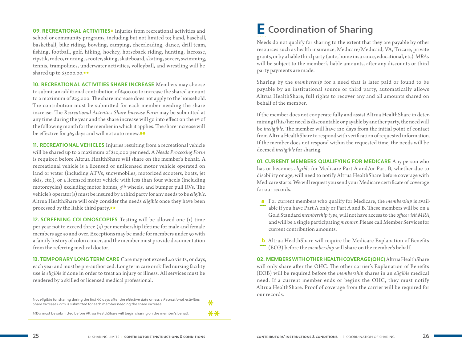<span id="page-16-0"></span>**09. RECREATIONAL ACTIVITIES**\* Injuries from recreational activities and school or community programs, including but not limited to; band, baseball, basketball, bike riding, bowling, camping, cheerleading, dance, drill team, fishing, football, golf, hiking, hockey, horseback riding, hunting, lacrosse, ripstik, rodeo, running, scooter, skiing, skateboard, skating, soccer, swimming, tennis, trampolines, underwater activities, volleyball, and wrestling will be shared up to \$5000.00.\*\*

**10. RECREATIONAL ACTIVITIES SHARE INCREASE** Members may choose to submit an additional contribution of \$300.00 to increase the shared amount to a maximum of \$25,000. The share increase does not apply to the household. The contribution must be submitted for each member needing the share increase. The *Recreational Activities Share Increase Form* may be submitted at any time during the year and the share increase will go into effect on the 1st of the following month for the member in which it applies. The share increase will be effective for 365 days and will not auto renew.\*\*

**11. RECREATIONAL VEHICLES** Injuries resulting from a recreational vehicle will be shared up to a maximum of \$10,000 per need. A *Needs Processing Form* is required before Altrua HealthShare will share on the member's behalf. A recreational vehicle is a licensed or unlicensed motor vehicle operated on land or water (including ATVs, snowmobiles, motorized scooters, boats, jet skis, etc.), or a licensed motor vehicle with less than four wheels (including motorcycles) excluding motor homes,  $5<sup>th</sup>$  wheels, and bumper pull RVs. The vehicle's operator(s) must be insured by a third party for any needs to be *eligible*. Altrua HealthShare will only consider the needs *eligible* once they have been processed by the liable third party.\*\*

**12. SCREENING COLONOSCOPIES** Testing will be allowed one (1) time per year not to exceed three (3) per membership lifetime for male and female members age 50 and over. Exceptions may be made for members under 50 with a family history of colon cancer, and the member must provide documentation from the referring medical doctor.

**13. TEMPORARY LONG TERM CARE** Care may not exceed 40 visits, or days, each year and must be pre-authorized. Long term care or skilled nursing facility use is *eligible* if done in order to treat an injury or illness. All services must be rendered by a skilled or licensed medical professional.

| Not eligible for sharing during the first 90 days after the effective date unless a Recreational Activities<br>Share Increase Form is submitted for each member needing the share increase. |      |
|---------------------------------------------------------------------------------------------------------------------------------------------------------------------------------------------|------|
| MRAs must be submitted before Altrua HealthShare will begin sharing on the member's behalf.                                                                                                 | $**$ |

#### **E** Coordination of Sharing

Needs do not qualify for sharing to the extent that they are payable by other resources such as health insurance, Medicare/Medicaid, VA, Tricare, private grants, or by a liable third party (auto, home insurance, educational, etc). *MRAs* will be subject to the member's liable amounts, after any discounts or third party payments are made.

Sharing by the *membership* for a need that is later paid or found to be payable by an institutional source or third party, automatically allows Altrua HealthShare, full rights to recover any and all amounts shared on behalf of the member.

If the member does not cooperate fully and assist Altrua HealthShare in determining if his/her need is discountable or payable by another party, the need will be *ineligible*. The member will have 120 days from the initial point of contact from Altrua HealthShare to respond with verification of requested information. If the member does not respond within the requested time, the needs will be deemed *ineligible* for sharing.

**01. CURRENT MEMBERS QUALIFYING FOR MEDICARE** Any person who has or becomes *eligible* for Medicare Part A and/or Part B, whether due to disability or age, will need to notify Altrua HealthShare before coverage with Medicare starts. We will request you send your Medicare certificate of coverage for our records.

- **a** For current members who qualify for Medicare, the *membership* is available if you have Part A only or Part A and B. These members will be on a Gold Standard *membership type,* will not have access to the *office visit MRA,*  and will be a single participating *member*. Please call Member Services for current contribution amounts.
- **b** Altrua HealthShare will require the Medicare Explanation of Benefits (EOB) before the *membership* will share on the member's behalf.

**02. MEMBERS WITH OTHER HEALTH COVERAGE (OHC)** Altrua HealthShare will only share after the OHC. The other carrier's Explanation of Benefits (EOB) will be required before the *membership* shares in an *eligible* medical need. If a current member ends or begins the OHC, they must notify Altrua HealthShare. Proof of coverage from the carrier will be required for our records.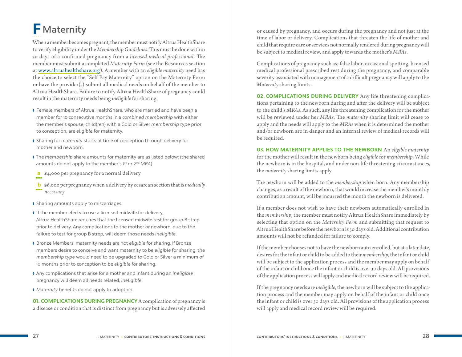## <span id="page-17-0"></span>**F** Maternity

When a member becomes pregnant, the member must notify Altrua HealthShare to verify eligibility under the *Membership Guidelines*. This must be done within 30 days of a confirmed pregnancy from a *licensed medical professional*. The member must submit a completed *Maternity Form* (see the Resources section at www.altruahealthshare.org). A member with an *eligible maternity* need has the choice to select the "Self Pay Maternity" option on the Maternity Form or have the provider(s) submit all medical needs on behalf of the member to Altrua HealthShare. Failure to notify Altrua HealthShare of pregnancy could result in the maternity needs being *ineligible* for sharing.

- › Female members of Altrua HealthShare, who are married and have been a member for 10 consecutive months in a combined membership with either the member's spouse, child(ren) with a Gold or Silver membership type prior to conception, are eligible for maternity.
- › Sharing for maternity starts at time of conception through delivery for mother and newborn.
- › The membership share amounts for maternity are as listed below: (the shared amounts do not apply to the member's 1st or 2<sup>nd</sup> MRA)
- **a** \$4,000 per pregnancy for a normal delivery
- **b** \$6,000 per pregnancy when a delivery by cesarean section that is *medically necessary*
- › Sharing amounts apply to miscarriages.
- › If the member elects to use a licensed midwife for delivery, Altrua HealthShare requires that the licensed midwife test for group B strep prior to delivery. Any complications to the mother or newborn, due to the failure to test for group B strep, will deem those needs ineligible.
- › Bronze Members' maternity needs are not eligible for sharing. If Bronze members desire to conceive and want maternity to be eligible for sharing, the membership type would need to be upgraded to Gold or Silver a minimum of 10 months prior to conception to be eligible for sharing.
- › Any complications that arise for a mother and infant during an ineligible pregnancy will deem all needs related, ineligible.
- › Maternity benefits do not apply to adoption.

**01. COMPLICATIONS DURING PREGNANCY** A complication of pregnancy is a disease or condition that is distinct from pregnancy but is adversely affected

or caused by pregnancy, and occurs during the pregnancy and not just at the time of labor or delivery. Complications that threaten the life of mother and child that require care or services not normally rendered during pregnancy will be subject to medical review, and apply towards the mother's *MRAs*.

Complications of pregnancy such as; false labor, occasional spotting, licensed medical professional prescribed rest during the pregnancy, and comparable severity associated with management of a difficult pregnancy will apply to the *Maternity* sharing limits.

**02. COMPLICATIONS DURING DELIVERY** Any life threatening complications pertaining to the newborn during and after the delivery will be subject to the child's *MRAs*. As such, any life threatening complication for the mother will be reviewed under her *MRAs*. The *maternity* sharing limit will cease to apply and the needs will apply to the *MRAs* when it is determined the mother and/or newborn are in danger and an internal review of medical records will be required.

**03. HOW MATERNITY APPLIES TO THE NEWBORN** An *eligible maternity*  for the mother will result in the newborn being *eligible* for *membership*. While the newborn is in the hospital, and under non-life threatening circumstances, the *maternity* sharing limits apply.

The newborn will be added to the *membership* when born. Any membership changes, as a result of the newborn, that would increase the member's monthly contribution amount, will be incurred the month the newborn is delivered.

If a member does not wish to have their newborn automatically enrolled in the *membership*, the member must notify Altrua HealthShare immediately by selecting that option on the *Maternity Form* and submitting that request to Altrua HealthShare before the newborn is 30 days old. Additional contribution amounts will not be refunded for failure to comply.

If the member chooses not to have the newborn auto enrolled, but at a later date, desires for the infant or child to be added to their *membership*, the infant or child will be subject to the application process and the member may apply on behalf of the infant or child once the infant or child is over 30 days old. All provisions of the application process will apply and medical record review will be required.

If the pregnancy needs are *ineligible*, the newborn will be subject to the application process and the member may apply on behalf of the infant or child once the infant or child is over 30 days old. All provisions of the application process will apply and medical record review will be required.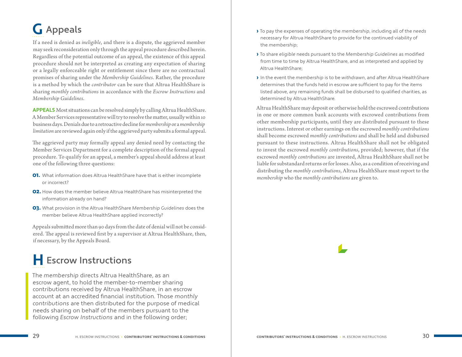## <span id="page-18-0"></span>**G** Appeals

If a need is denied as *ineligible*, and there is a dispute, the aggrieved member may seek reconsideration only through the appeal procedure described herein. Regardless of the potential outcome of an appeal, the existence of this appeal procedure should not be interpreted as creating any expectation of sharing or a legally enforceable right or entitlement since there are no contractual promises of sharing under the *Membership Guidelines*. Rather, the procedure is a method by which the *contributor* can be sure that Altrua HealthShare is sharing *monthly contributions* in accordance with the *Escrow Instructions* and *Membership Guidelines*.

**APPEALS** Most situations can be resolved simply by calling Altrua HealthShare. A Member Services representative will try to resolve the matter, usually within 10 business days. Denials due to a retroactive decline for *membership* or a *membership limitation* are reviewed again only if the aggrieved party submits a formal appeal.

The aggrieved party may formally appeal any denied need by contacting the Member Services Department for a complete description of the formal appeal procedure. To qualify for an appeal, a member's appeal should address at least one of the following three questions:

- **01.** What information does Altrua HealthShare have that is either incomplete or incorrect?
- **02.** How does the member believe Altrua HealthShare has misinterpreted the information already on hand?
- 03. What provision in the Altrua HealthShare Membership Guidelines does the member believe Altrua HealthShare applied incorrectly?

Appeals submitted more than 90 days from the date of denial will not be considered. The appeal is reviewed first by a supervisor at Altrua HealthShare, then, if necessary, by the Appeals Board.

### **H** Escrow Instructions

The membership directs Altrua HealthShare, as an escrow agent, to hold the member-to-member sharing contributions received by Altrua HealthShare, in an escrow account at an accredited financial institution. Those monthly contributions are then distributed for the purpose of medical needs sharing on behalf of the members pursuant to the following Escrow Instructions and in the following order;

- › To pay the expenses of operating the membership, including all of the needs necessary for Altrua HealthShare to provide for the continued viability of the membership;
- › To share eligible needs pursuant to the Membership Guidelines as modified from time to time by Altrua HealthShare, and as interpreted and applied by Altrua HealthShare;
- › In the event the membership is to be withdrawn, and after Altrua HealthShare determines that the funds held in escrow are sufficient to pay for the items listed above, any remaining funds shall be disbursed to qualified charities, as determined by Altrua HealthShare.

Altrua HealthShare may deposit or otherwise hold the escrowed contributions in one or more common bank accounts with escrowed contributions from other membership participants, until they are distributed pursuant to these instructions. Interest or other earnings on the escrowed *monthly contributions* shall become escrowed *monthly contributions* and shall be held and disbursed pursuant to these instructions. Altrua HealthShare shall not be obligated to invest the escrowed *monthly contributions*, provided; however, that if the escrowed *monthly contributions* are invested, Altrua HealthShare shall not be liable for substandard returns or for losses. Also, as a condition of receiving and distributing the *monthly contributions*, Altrua HealthShare must report to the *membership* who the *monthly contributions* are given to.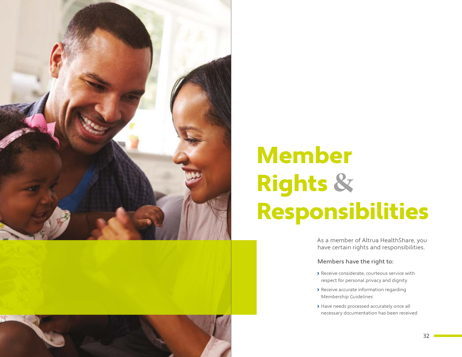<span id="page-19-0"></span>



## Member Rights **&** Responsibilities

As a member of Altrua HealthShare, you have certain rights and responsibilities.

#### Members have the right to:

- › Receive considerate, courteous service with respect for personal privacy and dignity
- › Receive accurate information regarding Membership Guidelines
- › Have needs processed accurately once all necessary documentation has been received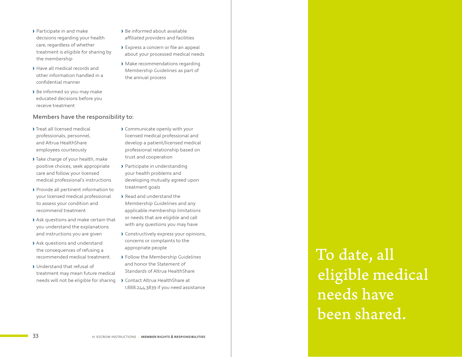- › Participate in and make decisions regarding your health care, regardless of whether treatment is eligible for sharing by the membership
- › Have all medical records and other information handled in a confidential manner
- › Be informed so you may make educated decisions before you receive treatment

#### Members have the responsibility to:

- › Treat all licensed medical professionals, personnel, and Altrua HealthShare employees courteously
- › Take charge of your health, make positive choices, seek appropriate care and follow your licensed medical professional's instructions
- › Provide all pertinent information to your licensed medical professional to assess your condition and recommend treatment
- › Ask questions and make certain that you understand the explanations and instructions you are given
- › Ask questions and understand the consequences of refusing a recommended medical treatment.
- › Understand that refusal of treatment may mean future medical needs will not be eligible for sharing
- › Be informed about available affiliated providers and facilities
- › Express a concern or file an appeal about your processed medical needs
- › Make recommendations regarding Membership Guidelines as part of the annual process

- › Communicate openly with your licensed medical professional and develop a patient/licensed medical professional relationship based on trust and cooperation
- › Participate in understanding your health problems and developing mutually agreed upon treatment goals
- › Read and understand the Membership Guidelines and any applicable membership limitations or needs that are eligible and call with any questions you may have
- › Constructively express your opinions, concerns or complaints to the appropriate people
- › Follow the Membership Guidelines and honor the Statement of Standards of Altrua HealthShare
- › Contact Altrua HealthShare at 1.888.244.3839 if you need assistance

To date, all eligible medical needs have been shared.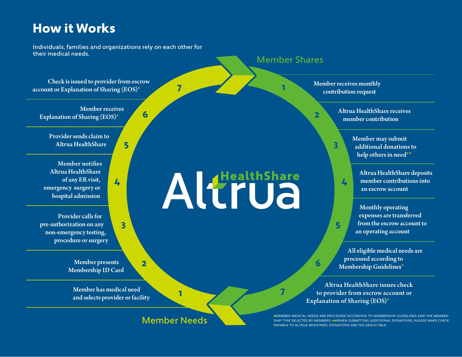#### **How it Works is simple.**

Individuals, families and organizations rely on each other for their medical needs.

Check is issued to provider from escrow account or Explanation of Sharing (EOS)\*

Member receives Explanation of Sharing (EOS)\*

Provider sends claim to Altrua HealthShare

Member notifies Altrua HealthShare of any ER visit, emergency surgery or hospital admission

Provider calls for pre-authorization on any non-emergency testing, procedure or surgery

> Member presents Membership ID Card

Member has medical need and selects provider or facility

Member Needs

1

7

Altrude

6

5

4

3

2

#### Member Shares

1

Member receives monthly contribution request

3

4

5

6

7

2

Altrua HealthShare receives member contribution

> Member may submit additional donations to help others in need\*\*

Altrua HealthShare deposits member contributions into an escrow account

Monthly operating expenses are transferred from the escrow account to an operating account

All eligible medical needs are processed according to Membership Guidelines\*

Altrua HealthShare issues check to provider from escrow account or Explanation of Sharing (EOS)\*

**\***Member medical needs are processed according to Membership Guidelines and the membership type selected by members. **\*\***When submitting additional donations, please make check payable to Altrua Ministries . Donations are tax deductible.